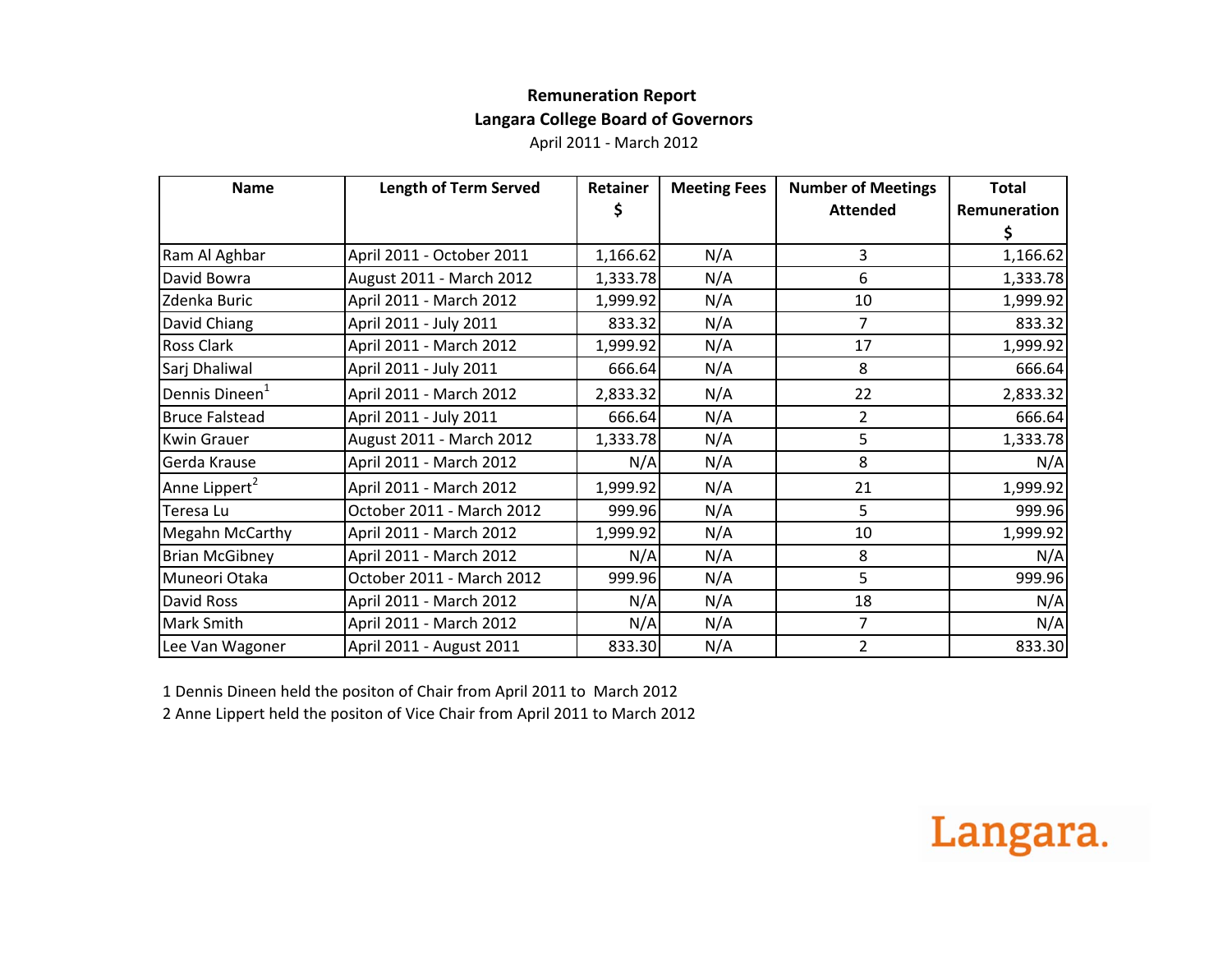## **Remuneration Report Langara College Board of Governors**

April 2011 ‐ March 2012

| <b>Name</b>                | <b>Length of Term Served</b> | Retainer | <b>Meeting Fees</b> | <b>Number of Meetings</b> | <b>Total</b> |
|----------------------------|------------------------------|----------|---------------------|---------------------------|--------------|
|                            |                              |          |                     | <b>Attended</b>           | Remuneration |
|                            |                              |          |                     |                           |              |
| Ram Al Aghbar              | April 2011 - October 2011    | 1,166.62 | N/A                 | 3                         | 1,166.62     |
| David Bowra                | August 2011 - March 2012     | 1,333.78 | N/A                 | 6                         | 1,333.78     |
| Zdenka Buric               | April 2011 - March 2012      | 1,999.92 | N/A                 | 10                        | 1,999.92     |
| David Chiang               | April 2011 - July 2011       | 833.32   | N/A                 | 7                         | 833.32       |
| <b>Ross Clark</b>          | April 2011 - March 2012      | 1,999.92 | N/A                 | 17                        | 1,999.92     |
| Sarj Dhaliwal              | April 2011 - July 2011       | 666.64   | N/A                 | 8                         | 666.64       |
| Dennis Dineen <sup>1</sup> | April 2011 - March 2012      | 2,833.32 | N/A                 | 22                        | 2,833.32     |
| <b>Bruce Falstead</b>      | April 2011 - July 2011       | 666.64   | N/A                 | 2                         | 666.64       |
| <b>Kwin Grauer</b>         | August 2011 - March 2012     | 1,333.78 | N/A                 | 5                         | 1,333.78     |
| Gerda Krause               | April 2011 - March 2012      | N/A      | N/A                 | 8                         | N/A          |
| Anne Lippert <sup>2</sup>  | April 2011 - March 2012      | 1,999.92 | N/A                 | 21                        | 1,999.92     |
| Teresa Lu                  | October 2011 - March 2012    | 999.96   | N/A                 | 5                         | 999.96       |
| <b>Megahn McCarthy</b>     | April 2011 - March 2012      | 1,999.92 | N/A                 | 10                        | 1,999.92     |
| <b>Brian McGibney</b>      | April 2011 - March 2012      | N/A      | N/A                 | 8                         | N/A          |
| Muneori Otaka              | October 2011 - March 2012    | 999.96   | N/A                 | 5                         | 999.96       |
| David Ross                 | April 2011 - March 2012      | N/A      | N/A                 | 18                        | N/A          |
| <b>Mark Smith</b>          | April 2011 - March 2012      | N/A      | N/A                 | 7                         | N/A          |
| Lee Van Wagoner            | April 2011 - August 2011     | 833.30   | N/A                 | $\overline{2}$            | 833.30       |

1 Dennis Dineen held the positon of Chair from April 2011 to March 2012

2 Anne Lippert held the positon of Vice Chair from April 2011 to March 2012

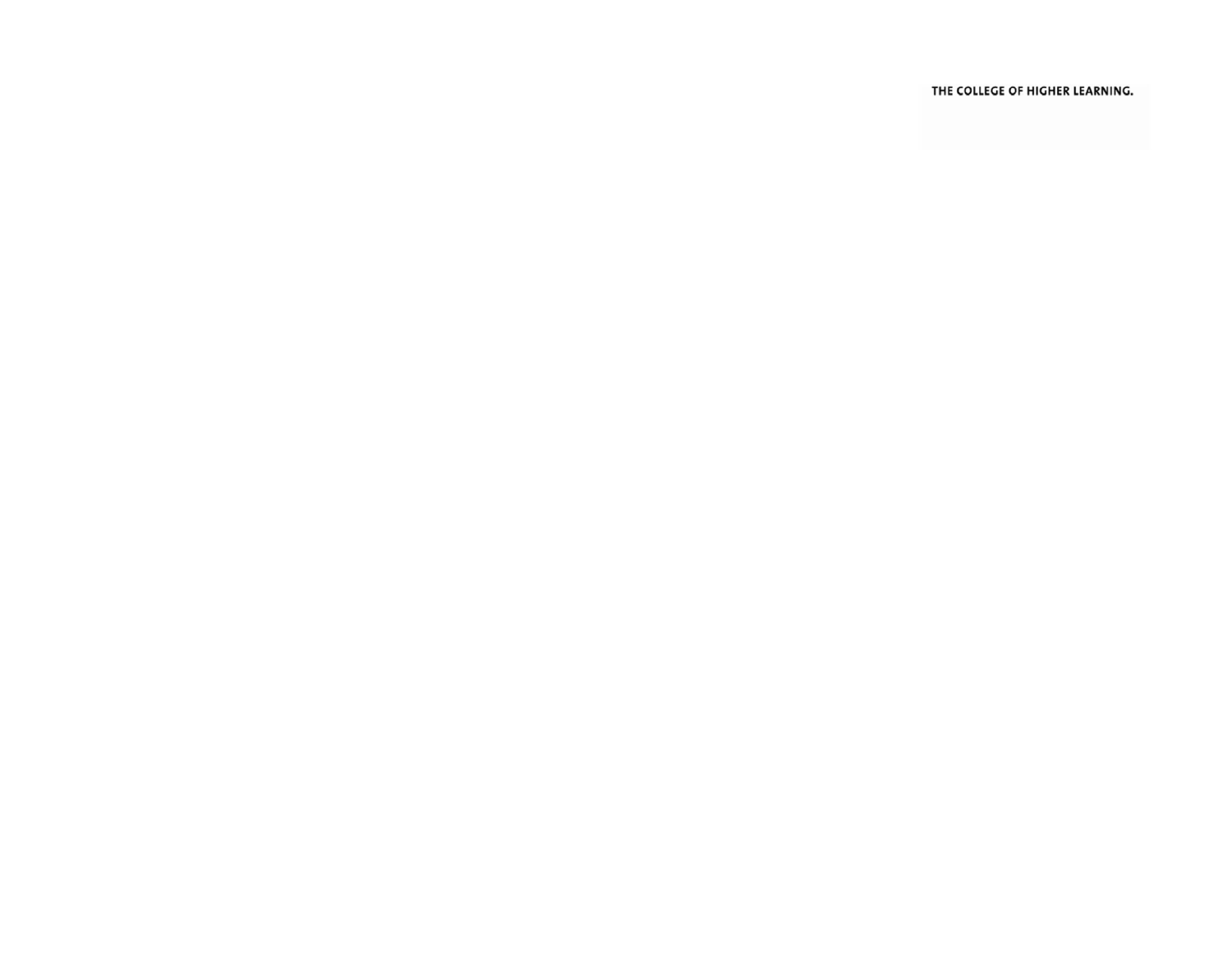THE COLLEGE OF HIGHER LEARNING.